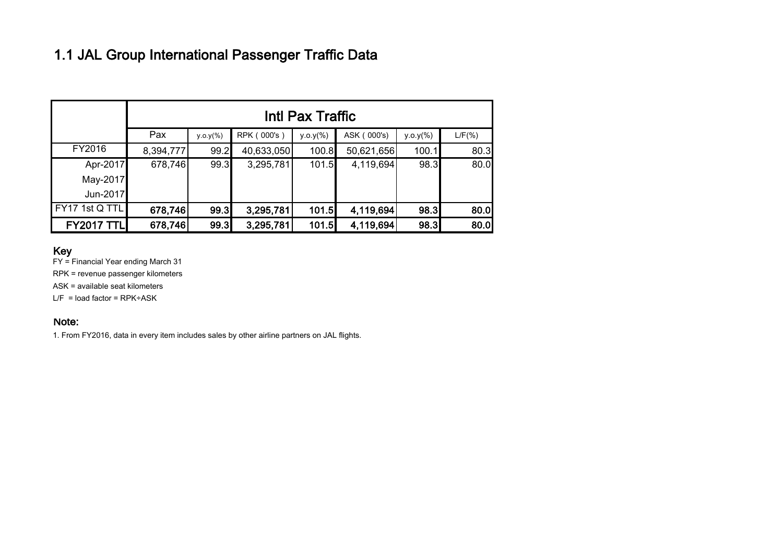## 1.1 JAL Group International Passenger Traffic Data

|                   | Intl Pax Traffic |             |             |             |             |             |           |  |
|-------------------|------------------|-------------|-------------|-------------|-------------|-------------|-----------|--|
|                   | Pax              | $y.o.y(\%)$ | RPK (000's) | $y.o.y(\%)$ | ASK (000's) | $y.o.y(\%)$ | $L/F(\%)$ |  |
| FY2016            | 8,394,777        | 99.2        | 40,633,050  | 100.8       | 50,621,656  | 100.1       | 80.3      |  |
| Apr-2017          | 678,746          | 99.3        | 3,295,781   | 101.5       | 4,119,694   | 98.3        | 80.0      |  |
| May-2017          |                  |             |             |             |             |             |           |  |
| Jun-2017          |                  |             |             |             |             |             |           |  |
| FY17 1st Q TTL    | 678,746          | 99.3        | 3,295,781   | 101.5       | 4,119,694   | 98.3        | 80.0      |  |
| <b>FY2017 TTL</b> | 678,746          | 99.3        | 3,295,781   | 101.5       | 4,119,694   | 98.3        | 80.0      |  |

#### Key

FY = Financial Year ending March 31

RPK = revenue passenger kilometers

ASK = available seat kilometers

 $L/F$  = load factor = RPK÷ASK

#### Note:

1. From FY2016, data in every item includes sales by other airline partners on JAL flights.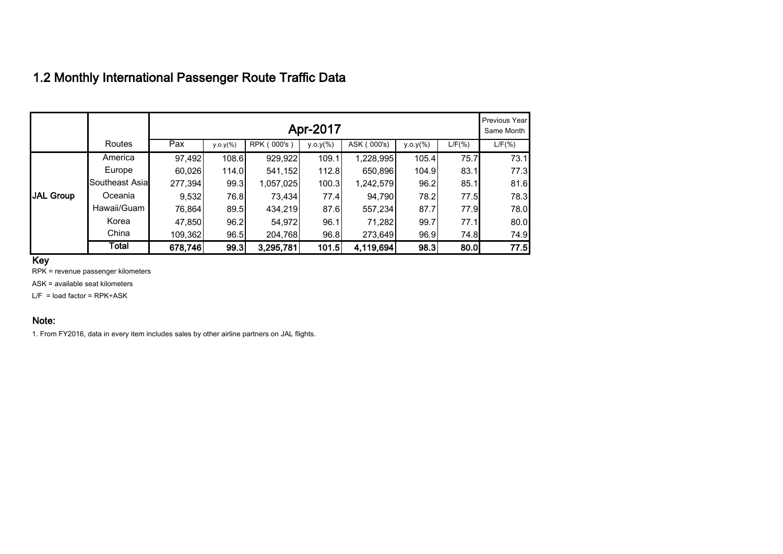### 1.2 Monthly International Passenger Route Traffic Data

|                  |                | Previous Year<br>Apr-2017 |             |             |              |             |             |           |           |
|------------------|----------------|---------------------------|-------------|-------------|--------------|-------------|-------------|-----------|-----------|
|                  | Routes         | Pax                       | $y.o.y(\%)$ | RPK (000's) | $y.o.y(\% )$ | ASK (000's) | $y.o.y(\%)$ | $L/F(\%)$ | $L/F(\%)$ |
|                  | America        | 97,492                    | 108.6       | 929,922     | 109.1        | 1,228,995   | 105.4       | 75.7      | 73.1      |
|                  | Europe         | 60,026                    | 114.0       | 541,152     | 112.8        | 650,896     | 104.9       | 83.1      | 77.3      |
|                  | Southeast Asia | 277,394                   | 99.3        | 1,057,025   | 100.3        | 1,242,579   | 96.2        | 85.1      | 81.6      |
| <b>JAL Group</b> | Oceania        | 9,532                     | 76.8        | 73,434      | 77.4         | 94,790      | 78.2        | 77.5      | 78.3      |
|                  | Hawaii/Guam    | 76,864                    | 89.5        | 434,219     | 87.6         | 557,234     | 87.7        | 77.9      | 78.0      |
|                  | Korea          | 47,850                    | 96.2        | 54,972      | 96.1         | 71,282      | 99.7        | 77.1      | 80.0      |
|                  | China          | 109,362                   | 96.5        | 204,768     | 96.8         | 273,649     | 96.9        | 74.8      | 74.9      |
|                  | Total          | 678,746                   | 99.3        | 3,295,781   | 101.5        | 4,119,694   | 98.3        | 80.0      | 77.5      |

Key

RPK = revenue passenger kilometers

ASK = available seat kilometers

 $L/F =$  load factor = RPK $\div$ ASK

#### Note:

1. From FY2016, data in every item includes sales by other airline partners on JAL flights.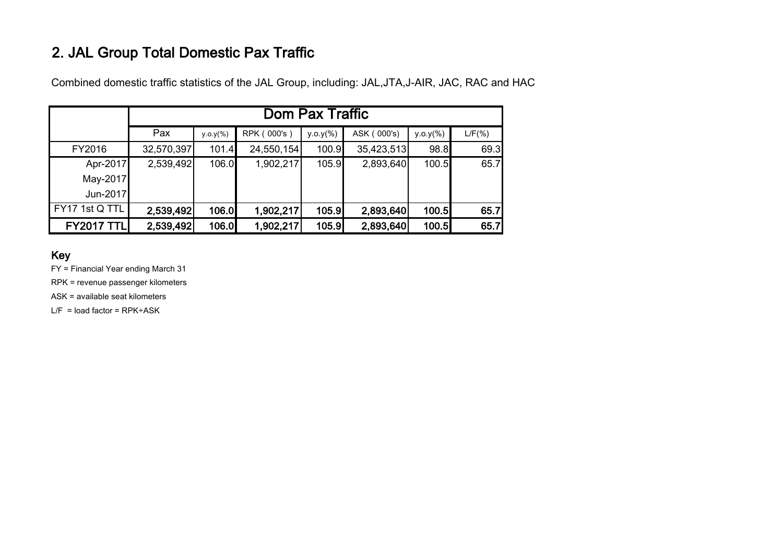# 2. JAL Group Total Domestic Pax Traffic

Combined domestic traffic statistics of the JAL Group, including: JAL,JTA,J-AIR, JAC, RAC and HAC

|                   | Dom Pax Traffic |             |             |             |             |             |           |  |
|-------------------|-----------------|-------------|-------------|-------------|-------------|-------------|-----------|--|
|                   | Pax             | $y.o.y(\%)$ | RPK (000's) | $y.o.y(\%)$ | ASK (000's) | $y.o.y(\%)$ | $L/F(\%)$ |  |
| FY2016            | 32,570,397      | 101.4       | 24,550,154  | 100.9       | 35,423,513  | 98.8        | 69.3      |  |
| Apr-2017          | 2,539,492       | 106.0       | 1,902,217   | 105.9       | 2,893,640   | 100.5       | 65.7      |  |
| May-2017          |                 |             |             |             |             |             |           |  |
| Jun-2017          |                 |             |             |             |             |             |           |  |
| FY17 1st Q TTL    | 2,539,492       | 106.0       | 1,902,217   | 105.9       | 2,893,640   | 100.5       | 65.7      |  |
| <b>FY2017 TTL</b> | 2,539,492       | 106.0       | 1,902,217   | 105.9       | 2,893,640   | 100.5       | 65.7      |  |

### Key

FY = Financial Year ending March 31

RPK = revenue passenger kilometers

ASK = available seat kilometers

 $L/F =$  load factor = RPK $\div$ ASK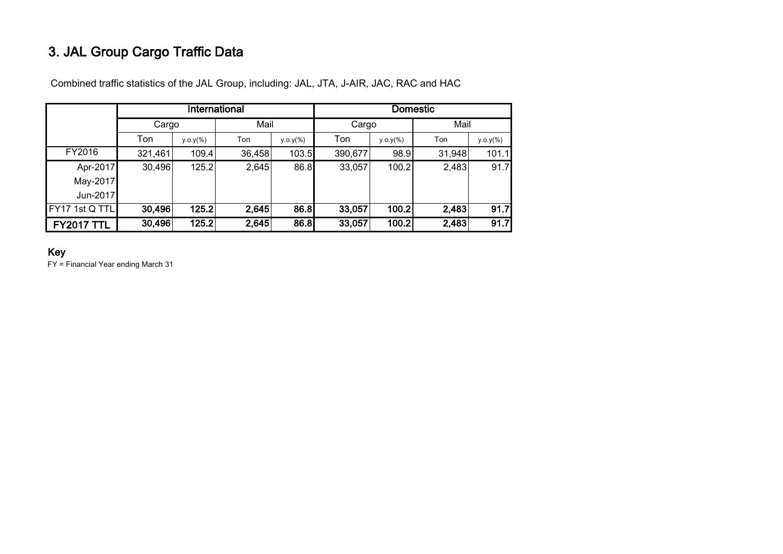# 3. JAL Group Cargo Traffic Data

|                   |         |              | International |              | <b>Domestic</b> |              |        |             |  |
|-------------------|---------|--------------|---------------|--------------|-----------------|--------------|--------|-------------|--|
|                   | Cargo   |              | Mail          |              | Cargo           |              | Mail   |             |  |
|                   | Ton     | $y.o.y(\% )$ | Ton           | $y.o.y(\% )$ | Ton             | $y.o.y(\% )$ | Ton    | $y.o.y(\%)$ |  |
| FY2016            | 321,461 | 109.4        | 36,458        | 103.5        | 390,677         | 98.9         | 31,948 | 101.1       |  |
| Apr-2017          | 30,496  | 125.2        | 2,645         | 86.8         | 33,057          | 100.2        | 2,483  | 91.7        |  |
| May-2017          |         |              |               |              |                 |              |        |             |  |
| Jun-2017          |         |              |               |              |                 |              |        |             |  |
| FY17 1st Q TTL    | 30,496  | 125.2        | 2,645         | 86.8         | 33,057          | 100.2        | 2,483  | 91.7        |  |
| <b>FY2017 TTL</b> | 30,496  | 125.2        | 2,645         | 86.8         | 33,057          | 100.2        | 2,483  | 91.7        |  |

Combined traffic statistics of the JAL Group, including: JAL, JTA, J-AIR, JAC, RAC and HAC

### Key

FY = Financial Year ending March 31